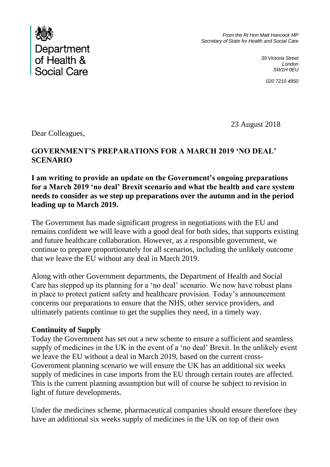

*From the Rt Hon Matt Hancock MP Secretary of State for Health and Social Care*

> *39 Victoria Street London SW1H 0EU*

> > *020 7210 4850*

23 August 2018

Dear Colleagues,

# **GOVERNMENT'S PREPARATIONS FOR A MARCH 2019 'NO DEAL' SCENARIO**

**I am writing to provide an update on the Government's ongoing preparations for a March 2019 'no deal' Brexit scenario and what the health and care system needs to consider as we step up preparations over the autumn and in the period leading up to March 2019.** 

The Government has made significant progress in negotiations with the EU and remains confident we will leave with a good deal for both sides, that supports existing and future healthcare collaboration. However, as a responsible government, we continue to prepare proportionately for all scenarios, including the unlikely outcome that we leave the EU without any deal in March 2019.

Along with other Government departments, the Department of Health and Social Care has stepped up its planning for a 'no deal' scenario. We now have robust plans in place to protect patient safety and healthcare provision. Today's announcement concerns our preparations to ensure that the NHS, other service providers, and ultimately patients continue to get the supplies they need, in a timely way.

### **Continuity of Supply**

Today the Government has set out a new scheme to ensure a sufficient and seamless supply of medicines in the UK in the event of a 'no deal' Brexit. In the unlikely event we leave the EU without a deal in March 2019, based on the current cross-Government planning scenario we will ensure the UK has an additional six weeks supply of medicines in case imports from the EU through certain routes are affected. This is the current planning assumption but will of course be subject to revision in light of future developments.

Under the medicines scheme, pharmaceutical companies should ensure therefore they have an additional six weeks supply of medicines in the UK on top of their own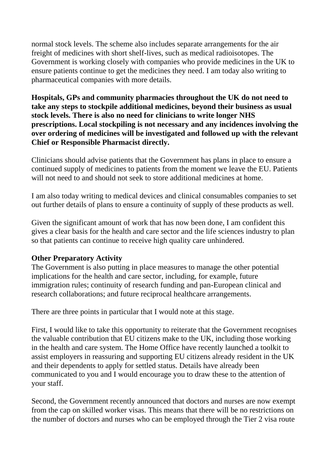normal stock levels. The scheme also includes separate arrangements for the air freight of medicines with short shelf-lives, such as medical radioisotopes. The Government is working closely with companies who provide medicines in the UK to ensure patients continue to get the medicines they need. I am today also writing to pharmaceutical companies with more details.

**Hospitals, GPs and community pharmacies throughout the UK do not need to take any steps to stockpile additional medicines, beyond their business as usual stock levels. There is also no need for clinicians to write longer NHS prescriptions. Local stockpiling is not necessary and any incidences involving the over ordering of medicines will be investigated and followed up with the relevant Chief or Responsible Pharmacist directly.** 

Clinicians should advise patients that the Government has plans in place to ensure a continued supply of medicines to patients from the moment we leave the EU. Patients will not need to and should not seek to store additional medicines at home.

I am also today writing to medical devices and clinical consumables companies to set out further details of plans to ensure a continuity of supply of these products as well.

Given the significant amount of work that has now been done, I am confident this gives a clear basis for the health and care sector and the life sciences industry to plan so that patients can continue to receive high quality care unhindered.

### **Other Preparatory Activity**

The Government is also putting in place measures to manage the other potential implications for the health and care sector, including, for example, future immigration rules; continuity of research funding and pan-European clinical and research collaborations; and future reciprocal healthcare arrangements.

There are three points in particular that I would note at this stage.

First, I would like to take this opportunity to reiterate that the Government recognises the valuable contribution that EU citizens make to the UK, including those working in the health and care system. The Home Office have recently launched a toolkit to assist employers in reassuring and supporting EU citizens already resident in the UK and their dependents to apply for settled status. Details have already been communicated to you and I would encourage you to draw these to the attention of your staff.

Second, the Government recently announced that doctors and nurses are now exempt from the cap on skilled worker visas. This means that there will be no restrictions on the number of doctors and nurses who can be employed through the Tier 2 visa route